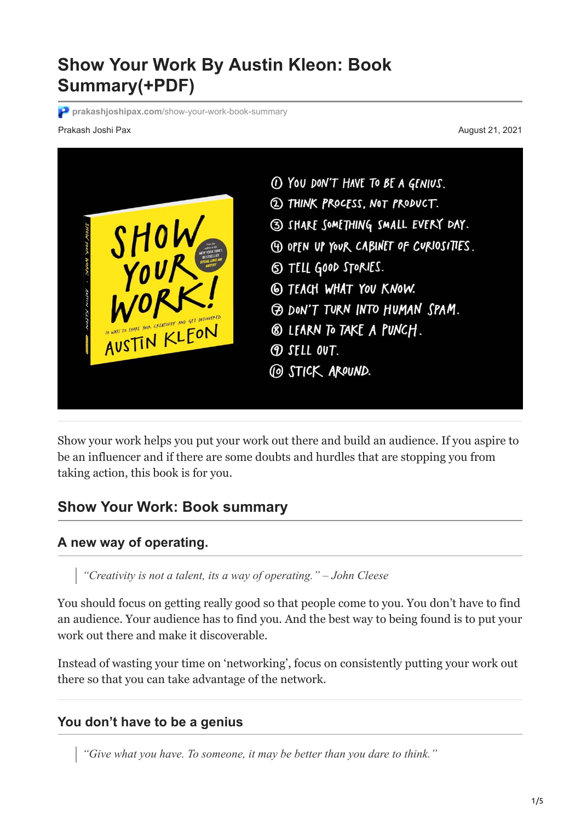# **Show Your Work By Austin Kleon: Book Summary(+PDF)**

**prakashjoshipax.com**[/show-your-work-book-summary](https://prakashjoshipax.com/show-your-work-book-summary/)

#### Prakash Joshi Pax August 21, 2021



Show your work helps you put your work out there and build an audience. If you aspire to be an influencer and if there are some doubts and hurdles that are stopping you from taking action, this book is for you.

### **Show Your Work: Book summary**

#### **A new way of operating.**

*"Creativity is not a talent, its a way of operating." – John Cleese*

You should focus on getting really good so that people come to you. You don't have to find an audience. Your audience has to find you. And the best way to being found is to put your work out there and make it discoverable.

Instead of wasting your time on 'networking', focus on consistently putting your work out there so that you can take advantage of the network.

#### **You don't have to be a genius**

*"Give what you have. To someone, it may be better than you dare to think."*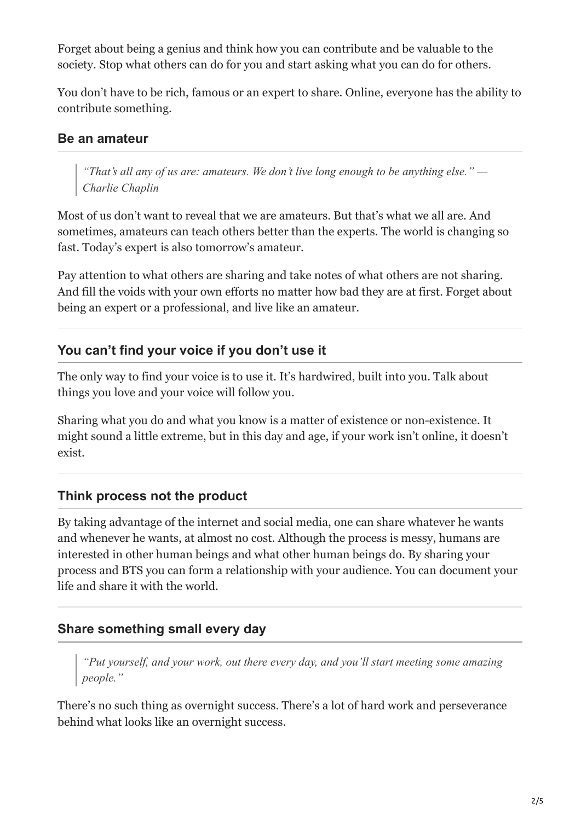Forget about being a genius and think how you can contribute and be valuable to the society. Stop what others can do for you and start asking what you can do for others.

You don't have to be rich, famous or an expert to share. Online, everyone has the ability to contribute something.

### **Be an amateur**

*"That's all any of us are: amateurs. We don't live long enough to be anything else." — Charlie Chaplin*

Most of us don't want to reveal that we are amateurs. But that's what we all are. And sometimes, amateurs can teach others better than the experts. The world is changing so fast. Today's expert is also tomorrow's amateur.

Pay attention to what others are sharing and take notes of what others are not sharing. And fill the voids with your own efforts no matter how bad they are at first. Forget about being an expert or a professional, and live like an amateur.

# **You can't find your voice if you don't use it**

The only way to find your voice is to use it. It's hardwired, built into you. Talk about things you love and your voice will follow you.

Sharing what you do and what you know is a matter of existence or non-existence. It might sound a little extreme, but in this day and age, if your work isn't online, it doesn't exist.

### **Think process not the product**

By taking advantage of the internet and social media, one can share whatever he wants and whenever he wants, at almost no cost. Although the process is messy, humans are interested in other human beings and what other human beings do. By sharing your process and BTS you can form a relationship with your audience. You can document your life and share it with the world.

# **Share something small every day**

*"Put yourself, and your work, out there every day, and you'll start meeting some amazing people."*

There's no such thing as overnight success. There's a lot of hard work and perseverance behind what looks like an overnight success.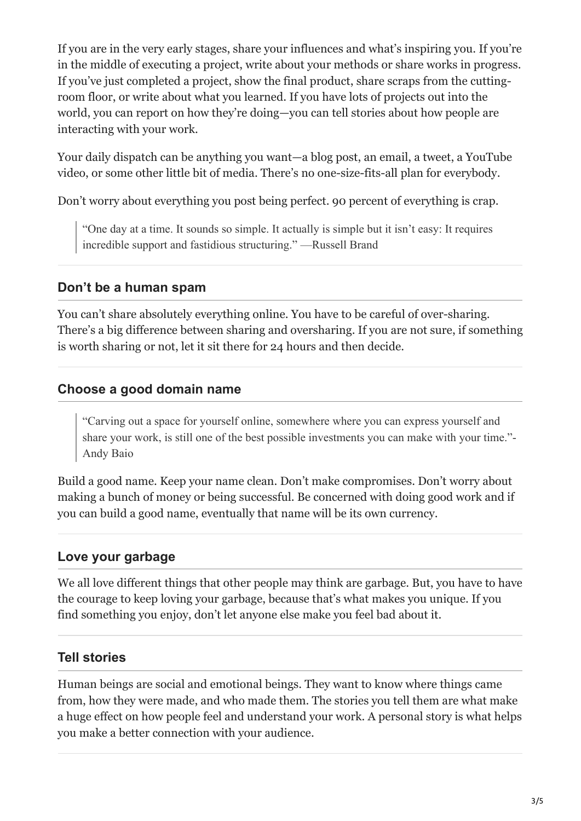If you are in the very early stages, share your influences and what's inspiring you. If you're in the middle of executing a project, write about your methods or share works in progress. If you've just completed a project, show the final product, share scraps from the cuttingroom floor, or write about what you learned. If you have lots of projects out into the world, you can report on how they're doing—you can tell stories about how people are interacting with your work.

Your daily dispatch can be anything you want—a blog post, an email, a tweet, a YouTube video, or some other little bit of media. There's no one-size-fits-all plan for everybody.

Don't worry about everything you post being perfect. 90 percent of everything is crap.

"One day at a time. It sounds so simple. It actually is simple but it isn't easy: It requires incredible support and fastidious structuring." —Russell Brand

### **Don't be a human spam**

You can't share absolutely everything online. You have to be careful of over-sharing. There's a big difference between sharing and oversharing. If you are not sure, if something is worth sharing or not, let it sit there for 24 hours and then decide.

# **Choose a good domain name**

"Carving out a space for yourself online, somewhere where you can express yourself and share your work, is still one of the best possible investments you can make with your time."- Andy Baio

Build a good name. Keep your name clean. Don't make compromises. Don't worry about making a bunch of money or being successful. Be concerned with doing good work and if you can build a good name, eventually that name will be its own currency.

# **Love your garbage**

We all love different things that other people may think are garbage. But, you have to have the courage to keep loving your garbage, because that's what makes you unique. If you find something you enjoy, don't let anyone else make you feel bad about it.

# **Tell stories**

Human beings are social and emotional beings. They want to know where things came from, how they were made, and who made them. The stories you tell them are what make a huge effect on how people feel and understand your work. A personal story is what helps you make a better connection with your audience.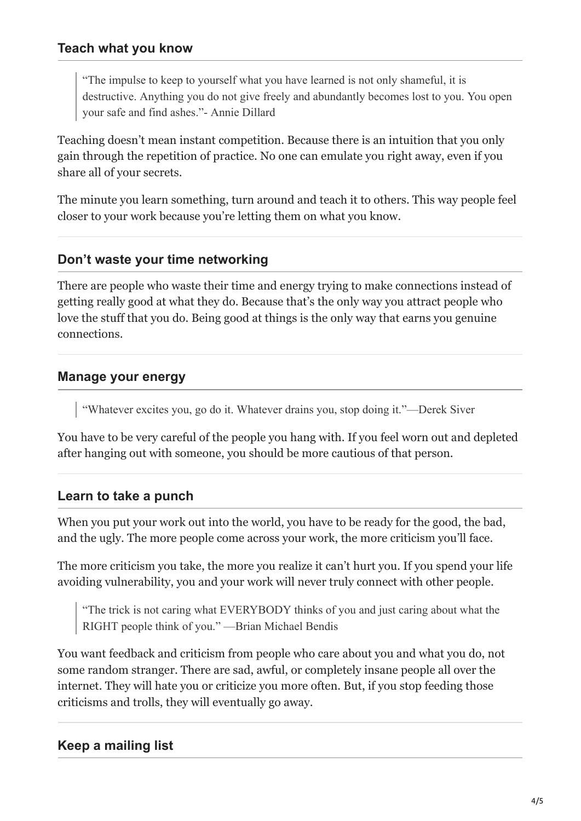#### **Teach what you know**

"The impulse to keep to yourself what you have learned is not only shameful, it is destructive. Anything you do not give freely and abundantly becomes lost to you. You open your safe and find ashes."- Annie Dillard

Teaching doesn't mean instant competition. Because there is an intuition that you only gain through the repetition of practice. No one can emulate you right away, even if you share all of your secrets.

The minute you learn something, turn around and teach it to others. This way people feel closer to your work because you're letting them on what you know.

#### **Don't waste your time networking**

There are people who waste their time and energy trying to make connections instead of getting really good at what they do. Because that's the only way you attract people who love the stuff that you do. Being good at things is the only way that earns you genuine connections.

#### **Manage your energy**

"Whatever excites you, go do it. Whatever drains you, stop doing it."—Derek Siver

You have to be very careful of the people you hang with. If you feel worn out and depleted after hanging out with someone, you should be more cautious of that person.

#### **Learn to take a punch**

When you put your work out into the world, you have to be ready for the good, the bad, and the ugly. The more people come across your work, the more criticism you'll face.

The more criticism you take, the more you realize it can't hurt you. If you spend your life avoiding vulnerability, you and your work will never truly connect with other people.

"The trick is not caring what EVERYBODY thinks of you and just caring about what the RIGHT people think of you." —Brian Michael Bendis

You want feedback and criticism from people who care about you and what you do, not some random stranger. There are sad, awful, or completely insane people all over the internet. They will hate you or criticize you more often. But, if you stop feeding those criticisms and trolls, they will eventually go away.

### **Keep a mailing list**